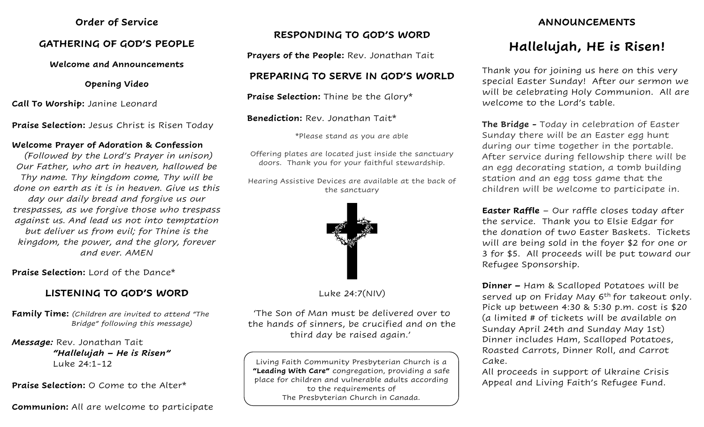#### **Order of Service**

#### **GATHERING OF GOD'S PEOPLE**

#### **Welcome and Announcements**

**Opening Video**

**Call To Worship:** Janine Leonard

**Praise Selection:** Jesus Christ is Risen Today

#### **Welcome Prayer of Adoration & Confession**

*(Followed by the Lord's Prayer in unison) Our Father, who art in heaven, hallowed be Thy name. Thy kingdom come, Thy will be done on earth as it is in heaven. Give us this day our daily bread and forgive us our trespasses, as we forgive those who trespass against us. And lead us not into temptation but deliver us from evil; for Thine is the kingdom, the power, and the glory, forever and ever. AMEN*

**Praise Selection:** Lord of the Dance\*

# **LISTENING TO GOD'S WORD**

**Family Time:** *(Children are invited to attend "The Bridge" following this message)*

*Message:* Rev. Jonathan Tait  *"Hallelujah – He is Risen"* Luke 24:1-12

**Praise Selection:** O Come to the Alter\*

**Communion:** All are welcome to participate

# **RESPONDING TO GOD'S WORD**

**Prayers of the People:** Rev. Jonathan Tait

# **PREPARING TO SERVE IN GOD'S WORLD**

**Praise Selection:** Thine be the Glory\*

**Benediction:** Rev. Jonathan Tait\*

\*Please stand as you are able

Offering plates are located just inside the sanctuary doors. Thank you for your faithful stewardship.

Hearing Assistive Devices are available at the back of the sanctuary



Luke 24:7(NIV)

'The Son of Man must be delivered over to the hands of sinners, be crucified and on the third day be raised again.'

Living Faith Community Presbyterian Church is a **"Leading With Care"** congregation, providing a safe place for children and vulnerable adults according to the requirements of The Presbyterian Church in Canada.

# **ANNOUNCEMENTS**

# **Hallelujah, HE is Risen!**

Thank you for joining us here on this very special Easter Sunday! After our sermon we will be celebrating Holy Communion. All are welcome to the Lord's table.

**The Bridge -** Today in celebration of Easter Sunday there will be an Easter egg hunt during our time together in the portable. After service during fellowship there will be an egg decorating station, a tomb building station and an egg toss game that the children will be welcome to participate in.

**Easter Raffle** – Our raffle closes today after the service. Thank you to Elsie Edgar for the donation of two Easter Baskets. Tickets will are being sold in the foyer \$2 for one or 3 for \$5. All proceeds will be put toward our Refugee Sponsorship.

**Dinner –** Ham & Scalloped Potatoes will be served up on Friday May 6<sup>th</sup> for takeout only. Pick up between 4:30 & 5:30 p.m. cost is \$20 (a limited # of tickets will be available on Sunday April 24th and Sunday May 1st) Dinner includes Ham, Scalloped Potatoes, Roasted Carrots, Dinner Roll, and Carrot Cake.

All proceeds in support of Ukraine Crisis Appeal and Living Faith's Refugee Fund.